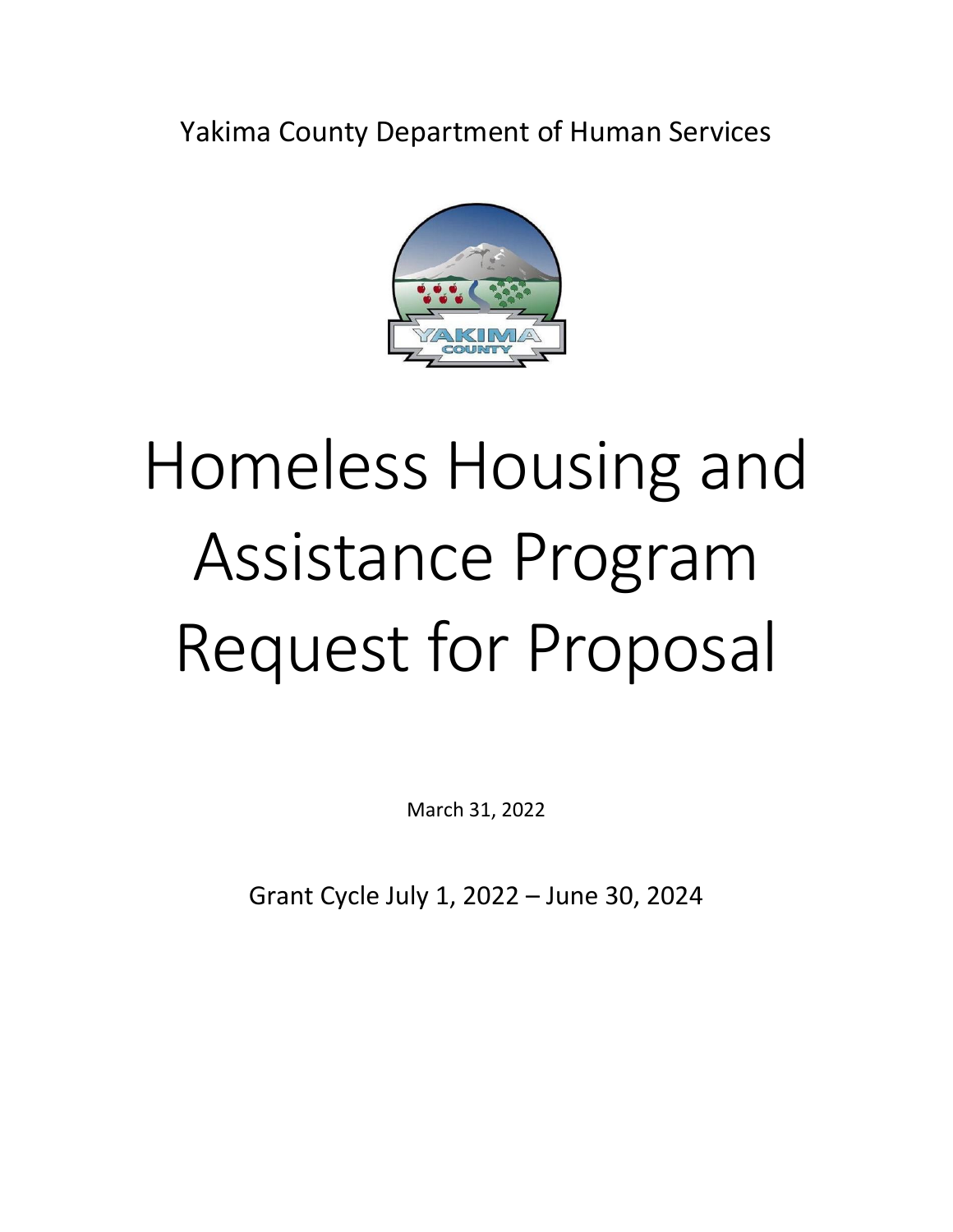Yakima County Department of Human Services



# Homeless Housing and Assistance Program Request for Proposal

March 31, 2022

Grant Cycle July 1, 2022 – June 30, 2024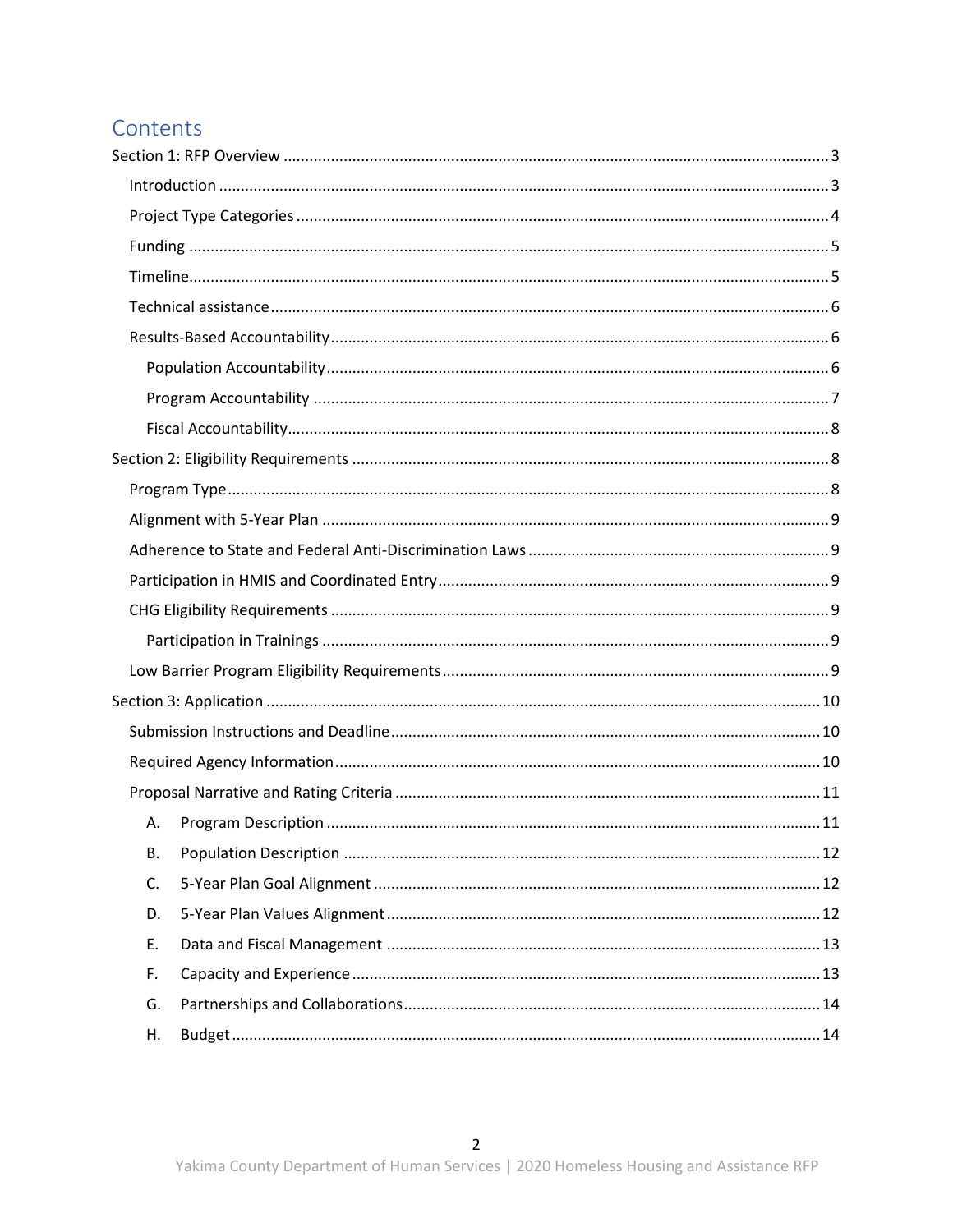# Contents

| А. |  |
|----|--|
| В. |  |
| C. |  |
| D. |  |
| Ε. |  |
| F. |  |
| G. |  |
| Η. |  |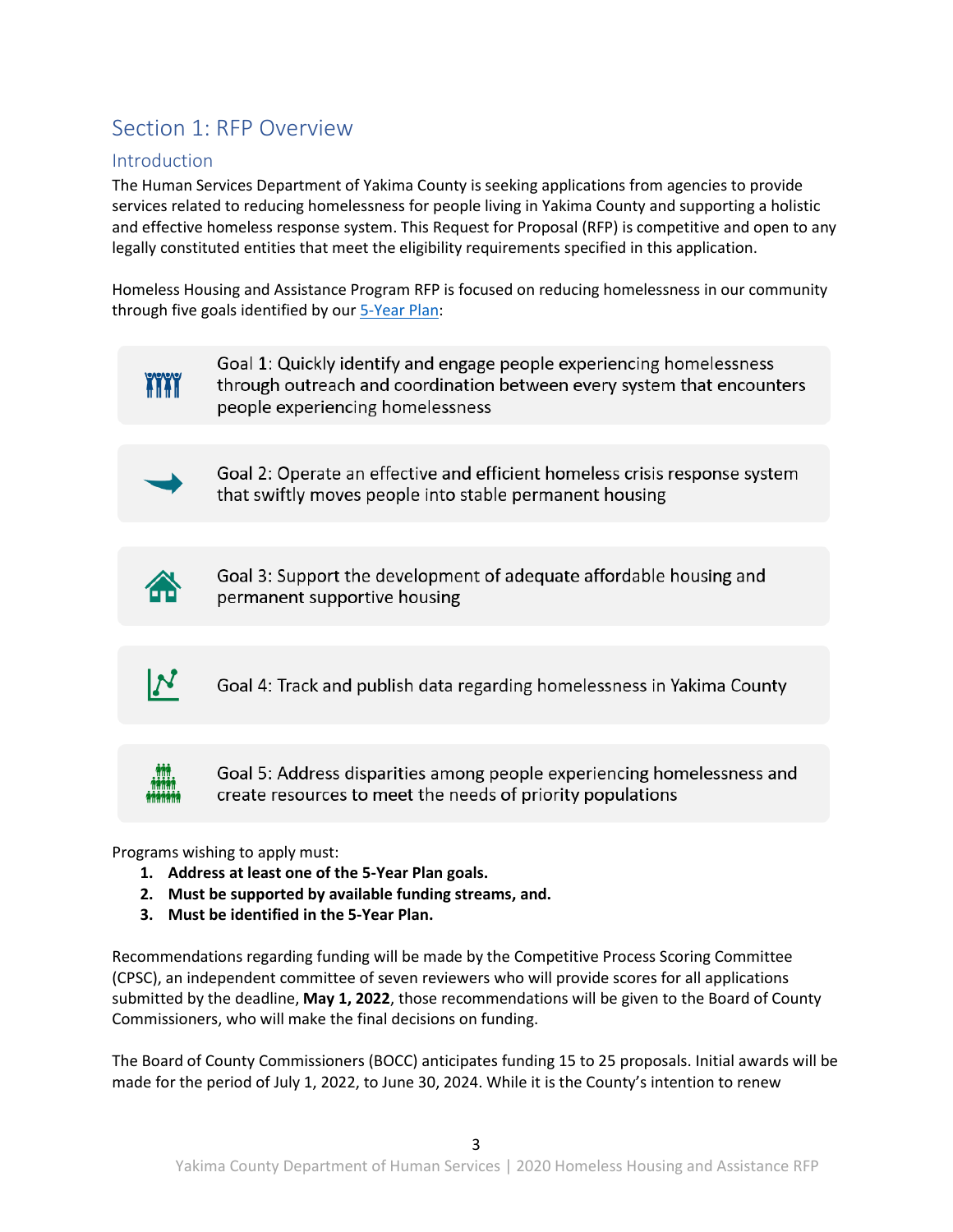# <span id="page-2-0"></span>Section 1: RFP Overview

# <span id="page-2-1"></span>**Introduction**

The Human Services Department of Yakima County is seeking applications from agencies to provide services related to reducing homelessness for people living in Yakima County and supporting a holistic and effective homeless response system. This Request for Proposal (RFP) is competitive and open to any legally constituted entities that meet the eligibility requirements specified in this application.

Homeless Housing and Assistance Program RFP is focused on reducing homelessness in our community through five goals identified by our [5-Year Plan:](https://www.yakimacounty.us/DocumentCenter/View/23705/Yakima-County-5-Year-Plan-to-Address-Homelessness-2019-2024?bidId=)



Goal 1: Quickly identify and engage people experiencing homelessness through outreach and coordination between every system that encounters people experiencing homelessness

Goal 2: Operate an effective and efficient homeless crisis response system that swiftly moves people into stable permanent housing



Goal 3: Support the development of adequate affordable housing and permanent supportive housing

Goal 4: Track and publish data regarding homelessness in Yakima County



 $\bm{N}$ 

Goal 5: Address disparities among people experiencing homelessness and create resources to meet the needs of priority populations

Programs wishing to apply must:

- **1. Address at least one of the 5-Year Plan goals.**
- **2. Must be supported by available funding streams, and.**
- **3. Must be identified in the 5-Year Plan.**

Recommendations regarding funding will be made by the Competitive Process Scoring Committee (CPSC), an independent committee of seven reviewers who will provide scores for all applications submitted by the deadline, **May 1, 2022**, those recommendations will be given to the Board of County Commissioners, who will make the final decisions on funding.

The Board of County Commissioners (BOCC) anticipates funding 15 to 25 proposals. Initial awards will be made for the period of July 1, 2022, to June 30, 2024. While it is the County's intention to renew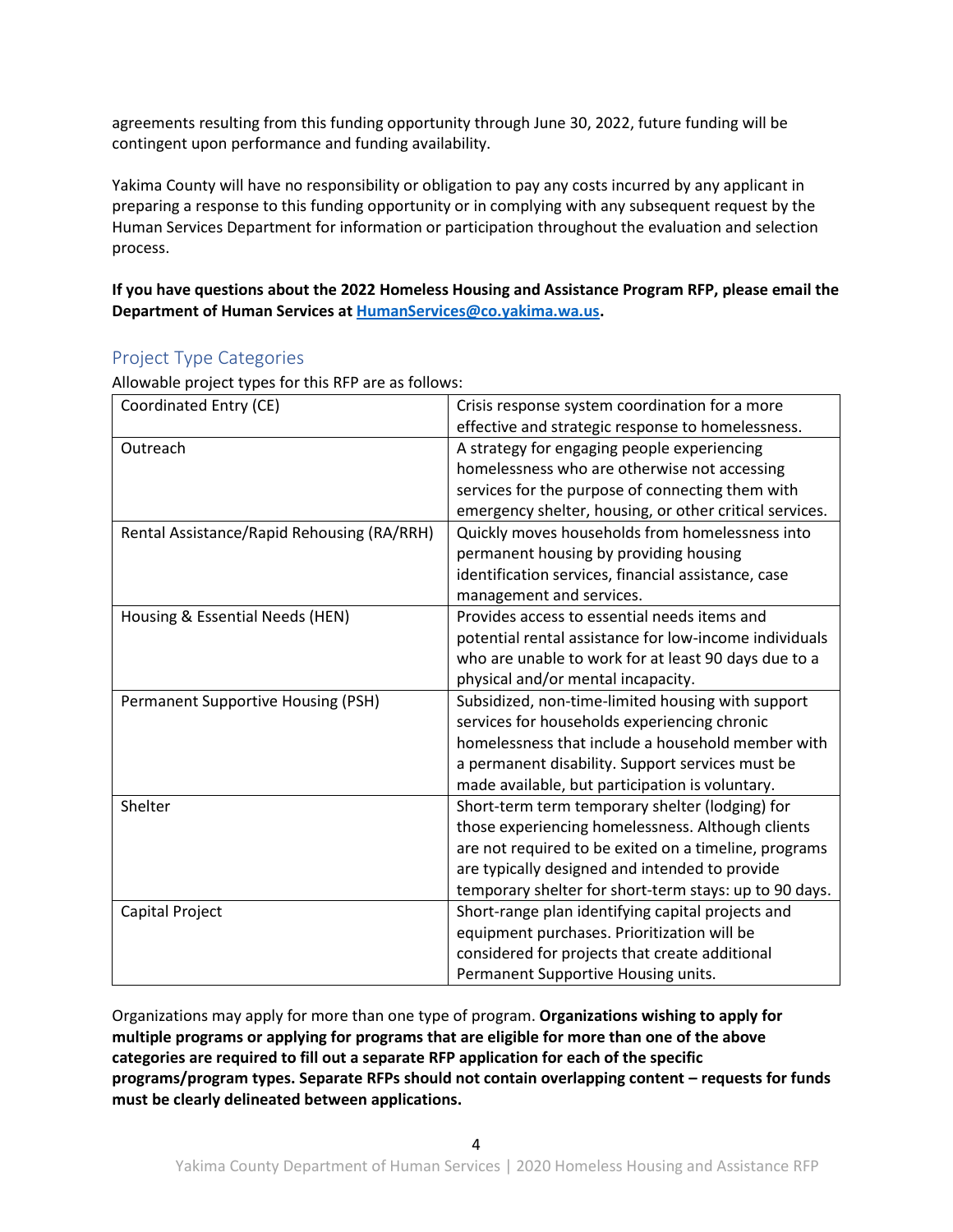agreements resulting from this funding opportunity through June 30, 2022, future funding will be contingent upon performance and funding availability.

Yakima County will have no responsibility or obligation to pay any costs incurred by any applicant in preparing a response to this funding opportunity or in complying with any subsequent request by the Human Services Department for information or participation throughout the evaluation and selection process.

**If you have questions about the 2022 Homeless Housing and Assistance Program RFP, please email the Department of Human Services at [HumanServices@co.yakima.wa.us.](mailto:Human.Services@co.yakima.wa.us)**

# <span id="page-3-0"></span>Project Type Categories

Allowable project types for this RFP are as follows:

| Coordinated Entry (CE)                     | Crisis response system coordination for a more          |
|--------------------------------------------|---------------------------------------------------------|
|                                            | effective and strategic response to homelessness.       |
| Outreach                                   | A strategy for engaging people experiencing             |
|                                            | homelessness who are otherwise not accessing            |
|                                            | services for the purpose of connecting them with        |
|                                            | emergency shelter, housing, or other critical services. |
| Rental Assistance/Rapid Rehousing (RA/RRH) | Quickly moves households from homelessness into         |
|                                            | permanent housing by providing housing                  |
|                                            | identification services, financial assistance, case     |
|                                            | management and services.                                |
| Housing & Essential Needs (HEN)            | Provides access to essential needs items and            |
|                                            | potential rental assistance for low-income individuals  |
|                                            | who are unable to work for at least 90 days due to a    |
|                                            | physical and/or mental incapacity.                      |
| Permanent Supportive Housing (PSH)         | Subsidized, non-time-limited housing with support       |
|                                            | services for households experiencing chronic            |
|                                            | homelessness that include a household member with       |
|                                            | a permanent disability. Support services must be        |
|                                            | made available, but participation is voluntary.         |
| Shelter                                    | Short-term term temporary shelter (lodging) for         |
|                                            | those experiencing homelessness. Although clients       |
|                                            | are not required to be exited on a timeline, programs   |
|                                            | are typically designed and intended to provide          |
|                                            | temporary shelter for short-term stays: up to 90 days.  |
| Capital Project                            | Short-range plan identifying capital projects and       |
|                                            | equipment purchases. Prioritization will be             |
|                                            | considered for projects that create additional          |
|                                            | Permanent Supportive Housing units.                     |

Organizations may apply for more than one type of program. **Organizations wishing to apply for multiple programs or applying for programs that are eligible for more than one of the above categories are required to fill out a separate RFP application for each of the specific programs/program types. Separate RFPs should not contain overlapping content – requests for funds must be clearly delineated between applications.**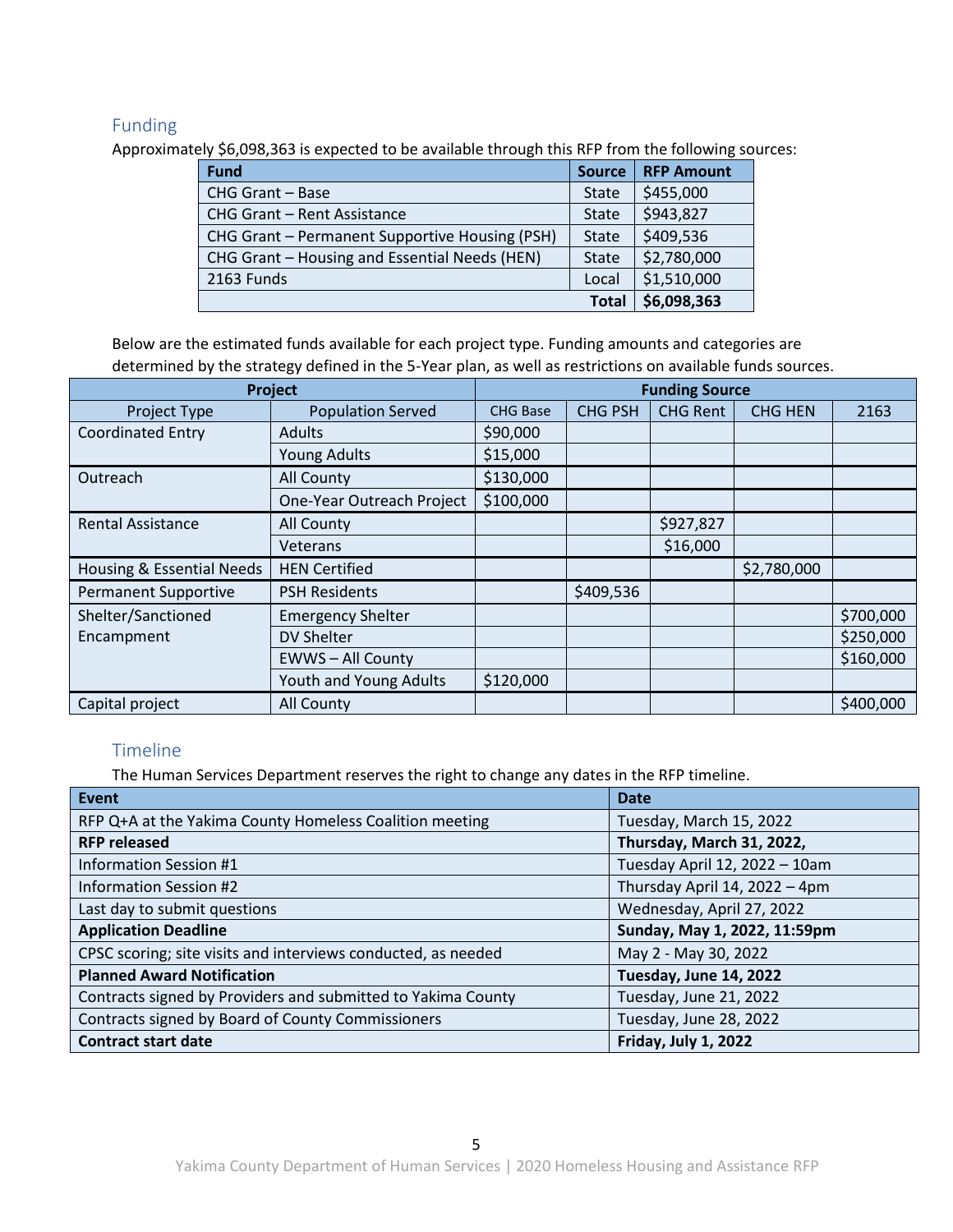# <span id="page-4-0"></span>Funding

Approximately \$6,098,363 is expected to be available through this RFP from the following sources:

| <b>Fund</b>                                    | <b>Source</b> | <b>RFP Amount</b> |
|------------------------------------------------|---------------|-------------------|
| CHG Grant - Base                               | <b>State</b>  | \$455,000         |
| <b>CHG Grant - Rent Assistance</b>             | State         | \$943,827         |
| CHG Grant - Permanent Supportive Housing (PSH) | <b>State</b>  | \$409,536         |
| CHG Grant - Housing and Essential Needs (HEN)  | <b>State</b>  | \$2,780,000       |
| 2163 Funds                                     | Local         | \$1,510,000       |
|                                                | <b>Total</b>  | \$6,098,363       |

Below are the estimated funds available for each project type. Funding amounts and categories are

determined by the strategy defined in the 5-Year plan, as well as restrictions on available funds sources.

| <b>Project</b>              |                           | <b>Funding Source</b> |                |                 |                |           |
|-----------------------------|---------------------------|-----------------------|----------------|-----------------|----------------|-----------|
| Project Type                | <b>Population Served</b>  | <b>CHG Base</b>       | <b>CHG PSH</b> | <b>CHG Rent</b> | <b>CHG HEN</b> | 2163      |
| <b>Coordinated Entry</b>    | <b>Adults</b>             | \$90,000              |                |                 |                |           |
|                             | <b>Young Adults</b>       | \$15,000              |                |                 |                |           |
| Outreach                    | <b>All County</b>         | \$130,000             |                |                 |                |           |
|                             | One-Year Outreach Project | \$100,000             |                |                 |                |           |
| <b>Rental Assistance</b>    | All County                |                       |                | \$927,827       |                |           |
|                             | Veterans                  |                       |                | \$16,000        |                |           |
| Housing & Essential Needs   | <b>HEN Certified</b>      |                       |                |                 | \$2,780,000    |           |
| <b>Permanent Supportive</b> | <b>PSH Residents</b>      |                       | \$409,536      |                 |                |           |
| Shelter/Sanctioned          | <b>Emergency Shelter</b>  |                       |                |                 |                | \$700,000 |
| Encampment                  | <b>DV Shelter</b>         |                       |                |                 |                | \$250,000 |
|                             | <b>EWWS-All County</b>    |                       |                |                 |                | \$160,000 |
|                             | Youth and Young Adults    | \$120,000             |                |                 |                |           |
| Capital project             | <b>All County</b>         |                       |                |                 |                | \$400,000 |

# <span id="page-4-1"></span>**Timeline**

The Human Services Department reserves the right to change any dates in the RFP timeline.

| <b>Event</b>                                                  | <b>Date</b>                   |
|---------------------------------------------------------------|-------------------------------|
| RFP Q+A at the Yakima County Homeless Coalition meeting       | Tuesday, March 15, 2022       |
| <b>RFP released</b>                                           | Thursday, March 31, 2022,     |
| Information Session #1                                        | Tuesday April 12, 2022 - 10am |
| <b>Information Session #2</b>                                 | Thursday April 14, 2022 - 4pm |
| Last day to submit questions                                  | Wednesday, April 27, 2022     |
| <b>Application Deadline</b>                                   | Sunday, May 1, 2022, 11:59pm  |
| CPSC scoring; site visits and interviews conducted, as needed | May 2 - May 30, 2022          |
| <b>Planned Award Notification</b>                             | Tuesday, June 14, 2022        |
| Contracts signed by Providers and submitted to Yakima County  | Tuesday, June 21, 2022        |
| Contracts signed by Board of County Commissioners             | Tuesday, June 28, 2022        |
| <b>Contract start date</b>                                    | Friday, July 1, 2022          |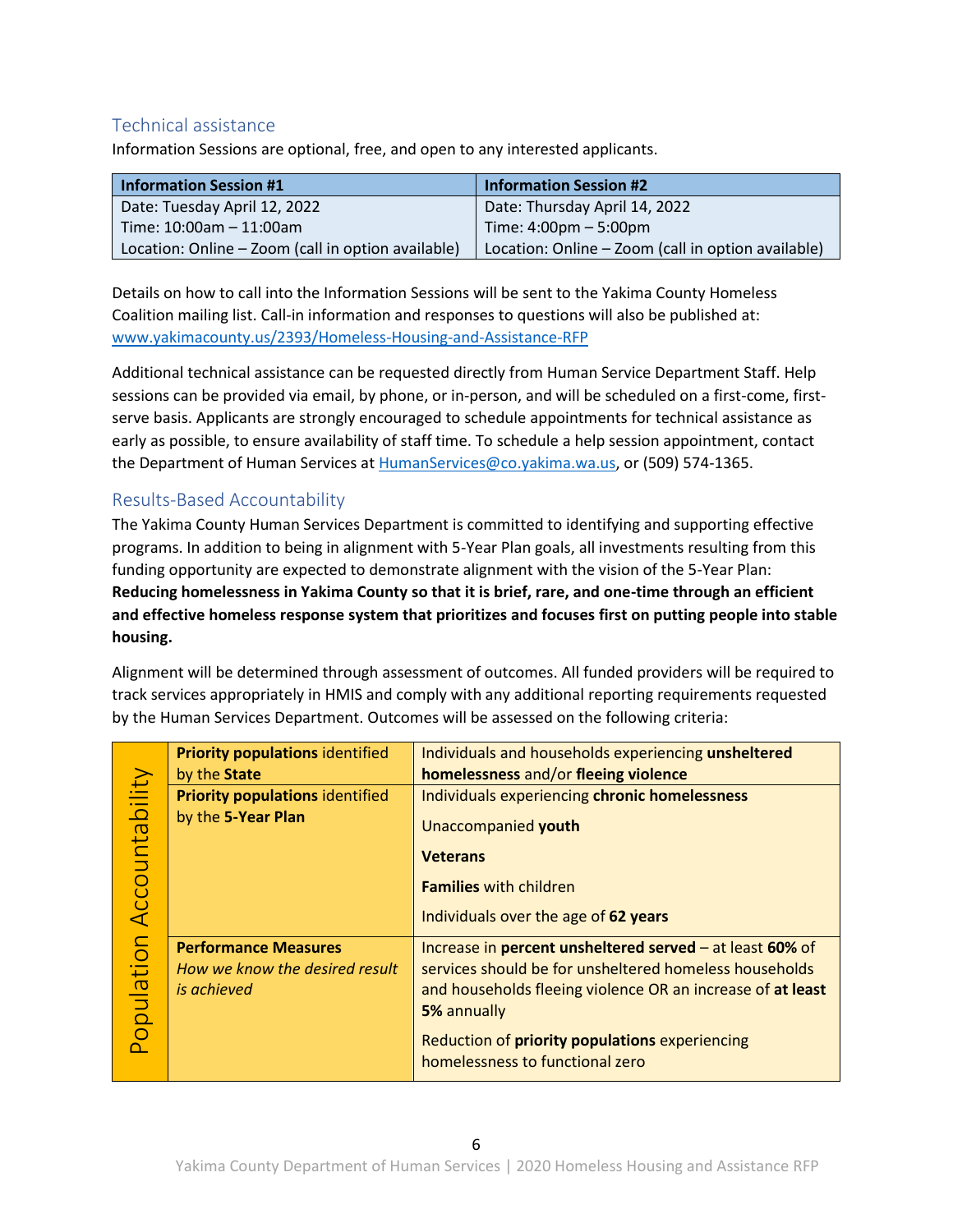# <span id="page-5-0"></span>Technical assistance

Information Sessions are optional, free, and open to any interested applicants.

| <b>Information Session #1</b>                      | <b>Information Session #2</b>                      |
|----------------------------------------------------|----------------------------------------------------|
| Date: Tuesday April 12, 2022                       | Date: Thursday April 14, 2022                      |
| $\blacksquare$ Time: 10:00am - 11:00am             | $Time: 4:00pm - 5:00pm$                            |
| Location: Online – Zoom (call in option available) | Location: Online - Zoom (call in option available) |

Details on how to call into the Information Sessions will be sent to the Yakima County Homeless Coalition mailing list. Call-in information and responses to questions will also be published at: [www.yakimacounty.us/2393/Homeless-Housing-and-Assistance-RFP](http://www.yakimacounty.us/2393/Homeless-Housing-and-Assistance-RFP)

Additional technical assistance can be requested directly from Human Service Department Staff. Help sessions can be provided via email, by phone, or in-person, and will be scheduled on a first-come, firstserve basis. Applicants are strongly encouraged to schedule appointments for technical assistance as early as possible, to ensure availability of staff time. To schedule a help session appointment, contact the Department of Human Services at [HumanServices@co.yakima.wa.us,](mailto:Human.Services@co.yakima.wa.us) or (509) 574-1365.

# <span id="page-5-1"></span>Results-Based Accountability

The Yakima County Human Services Department is committed to identifying and supporting effective programs. In addition to being in alignment with 5-Year Plan goals, all investments resulting from this funding opportunity are expected to demonstrate alignment with the vision of the 5-Year Plan: **Reducing homelessness in Yakima County so that it is brief, rare, and one-time through an efficient and effective homeless response system that prioritizes and focuses first on putting people into stable housing.**

Alignment will be determined through assessment of outcomes. All funded providers will be required to track services appropriately in HMIS and comply with any additional reporting requirements requested by the Human Services Department. Outcomes will be assessed on the following criteria:

<span id="page-5-2"></span>

| Accountability | <b>Priority populations identified</b><br>by the State                       | Individuals and households experiencing unsheltered<br>homelessness and/or fleeing violence                                                                                                       |
|----------------|------------------------------------------------------------------------------|---------------------------------------------------------------------------------------------------------------------------------------------------------------------------------------------------|
|                | <b>Priority populations identified</b><br>by the 5-Year Plan                 | Individuals experiencing chronic homelessness<br>Unaccompanied youth                                                                                                                              |
|                |                                                                              | <b>Veterans</b>                                                                                                                                                                                   |
|                |                                                                              | <b>Families with children</b>                                                                                                                                                                     |
|                |                                                                              | Individuals over the age of 62 years                                                                                                                                                              |
| Population     | <b>Performance Measures</b><br>How we know the desired result<br>is achieved | Increase in percent unsheltered served $-$ at least 60% of<br>services should be for unsheltered homeless households<br>and households fleeing violence OR an increase of at least<br>5% annually |
|                |                                                                              | Reduction of priority populations experiencing<br>homelessness to functional zero                                                                                                                 |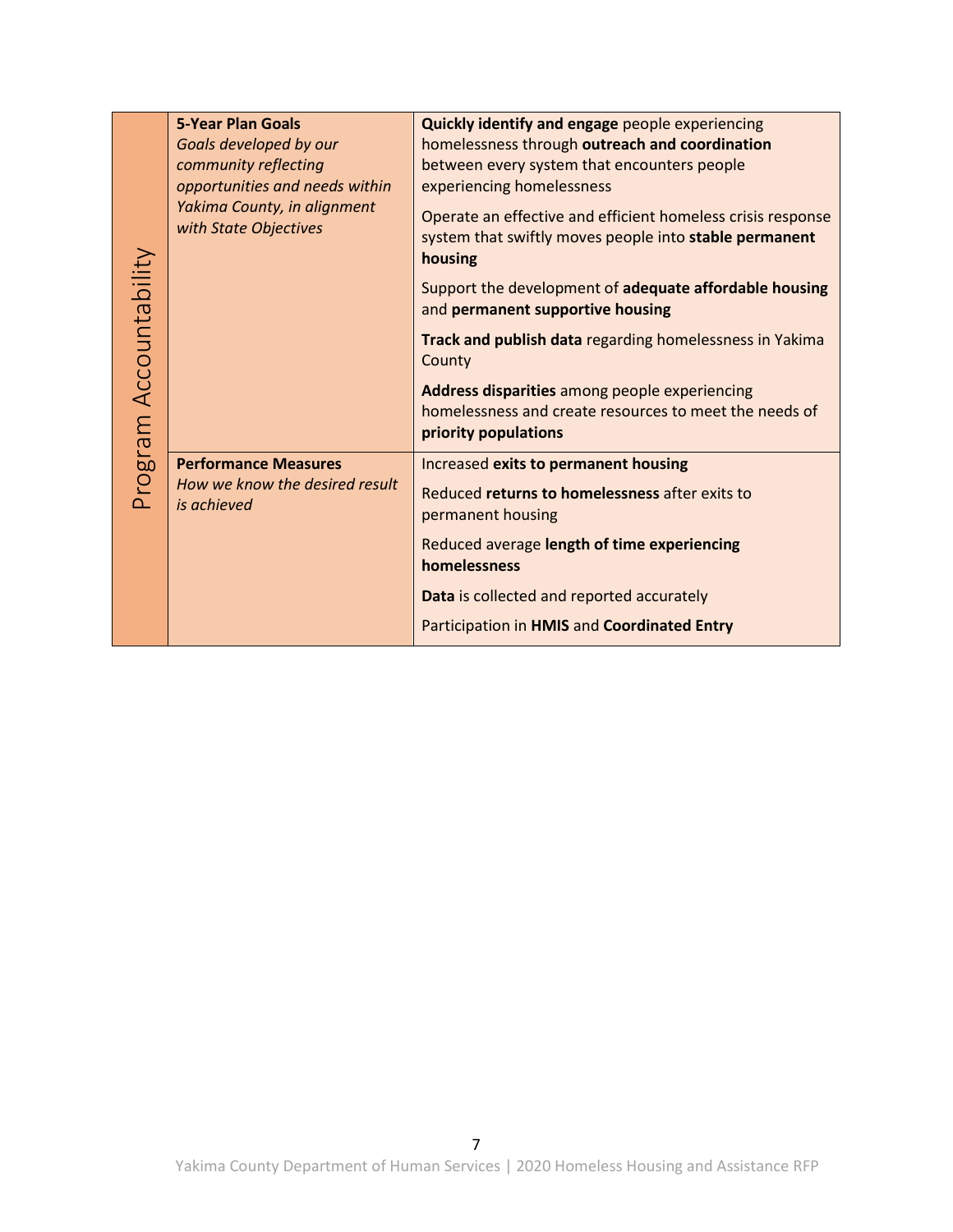<span id="page-6-0"></span>

|                        | <b>5-Year Plan Goals</b>                             | <b>Quickly identify and engage</b> people experiencing                                                                           |
|------------------------|------------------------------------------------------|----------------------------------------------------------------------------------------------------------------------------------|
|                        | Goals developed by our                               | homelessness through outreach and coordination                                                                                   |
|                        | community reflecting                                 | between every system that encounters people                                                                                      |
|                        | opportunities and needs within                       | experiencing homelessness                                                                                                        |
|                        | Yakima County, in alignment<br>with State Objectives | Operate an effective and efficient homeless crisis response<br>system that swiftly moves people into stable permanent<br>housing |
|                        |                                                      | Support the development of adequate affordable housing<br>and permanent supportive housing                                       |
|                        |                                                      | Track and publish data regarding homelessness in Yakima<br>County                                                                |
| Program Accountability |                                                      | Address disparities among people experiencing<br>homelessness and create resources to meet the needs of<br>priority populations  |
|                        | <b>Performance Measures</b>                          | Increased exits to permanent housing                                                                                             |
|                        | How we know the desired result<br>is achieved        | Reduced returns to homelessness after exits to<br>permanent housing                                                              |
|                        |                                                      | Reduced average length of time experiencing<br>homelessness                                                                      |
|                        |                                                      | Data is collected and reported accurately                                                                                        |
|                        |                                                      | Participation in HMIS and Coordinated Entry                                                                                      |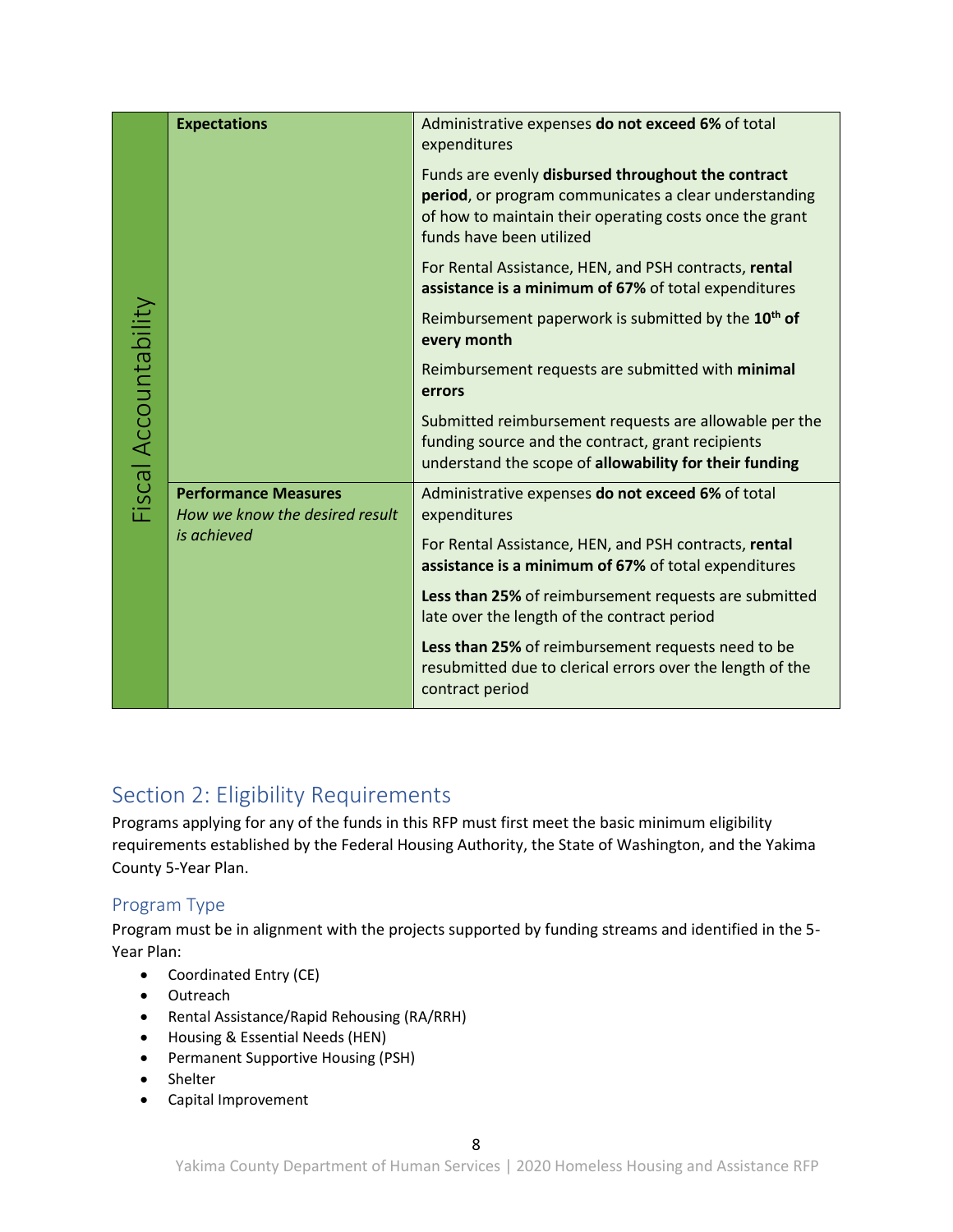<span id="page-7-0"></span>

| Fiscal Accountability | <b>Expectations</b>                                                          | Administrative expenses do not exceed 6% of total<br>expenditures                                                                                                                                  |
|-----------------------|------------------------------------------------------------------------------|----------------------------------------------------------------------------------------------------------------------------------------------------------------------------------------------------|
|                       |                                                                              | Funds are evenly disbursed throughout the contract<br>period, or program communicates a clear understanding<br>of how to maintain their operating costs once the grant<br>funds have been utilized |
|                       |                                                                              | For Rental Assistance, HEN, and PSH contracts, rental<br>assistance is a minimum of 67% of total expenditures                                                                                      |
|                       |                                                                              | Reimbursement paperwork is submitted by the 10 <sup>th</sup> of<br>every month                                                                                                                     |
|                       |                                                                              | Reimbursement requests are submitted with minimal<br>errors                                                                                                                                        |
|                       |                                                                              | Submitted reimbursement requests are allowable per the<br>funding source and the contract, grant recipients<br>understand the scope of allowability for their funding                              |
|                       | <b>Performance Measures</b><br>How we know the desired result<br>is achieved | Administrative expenses do not exceed 6% of total<br>expenditures                                                                                                                                  |
|                       |                                                                              | For Rental Assistance, HEN, and PSH contracts, rental<br>assistance is a minimum of 67% of total expenditures                                                                                      |
|                       |                                                                              | Less than 25% of reimbursement requests are submitted<br>late over the length of the contract period                                                                                               |
|                       |                                                                              | Less than 25% of reimbursement requests need to be<br>resubmitted due to clerical errors over the length of the<br>contract period                                                                 |

# <span id="page-7-1"></span>Section 2: Eligibility Requirements

Programs applying for any of the funds in this RFP must first meet the basic minimum eligibility requirements established by the Federal Housing Authority, the State of Washington, and the Yakima County 5-Year Plan.

# <span id="page-7-2"></span>Program Type

Program must be in alignment with the projects supported by funding streams and identified in the 5- Year Plan:

- Coordinated Entry (CE)
- Outreach
- Rental Assistance/Rapid Rehousing (RA/RRH)
- Housing & Essential Needs (HEN)
- Permanent Supportive Housing (PSH)
- Shelter
- Capital Improvement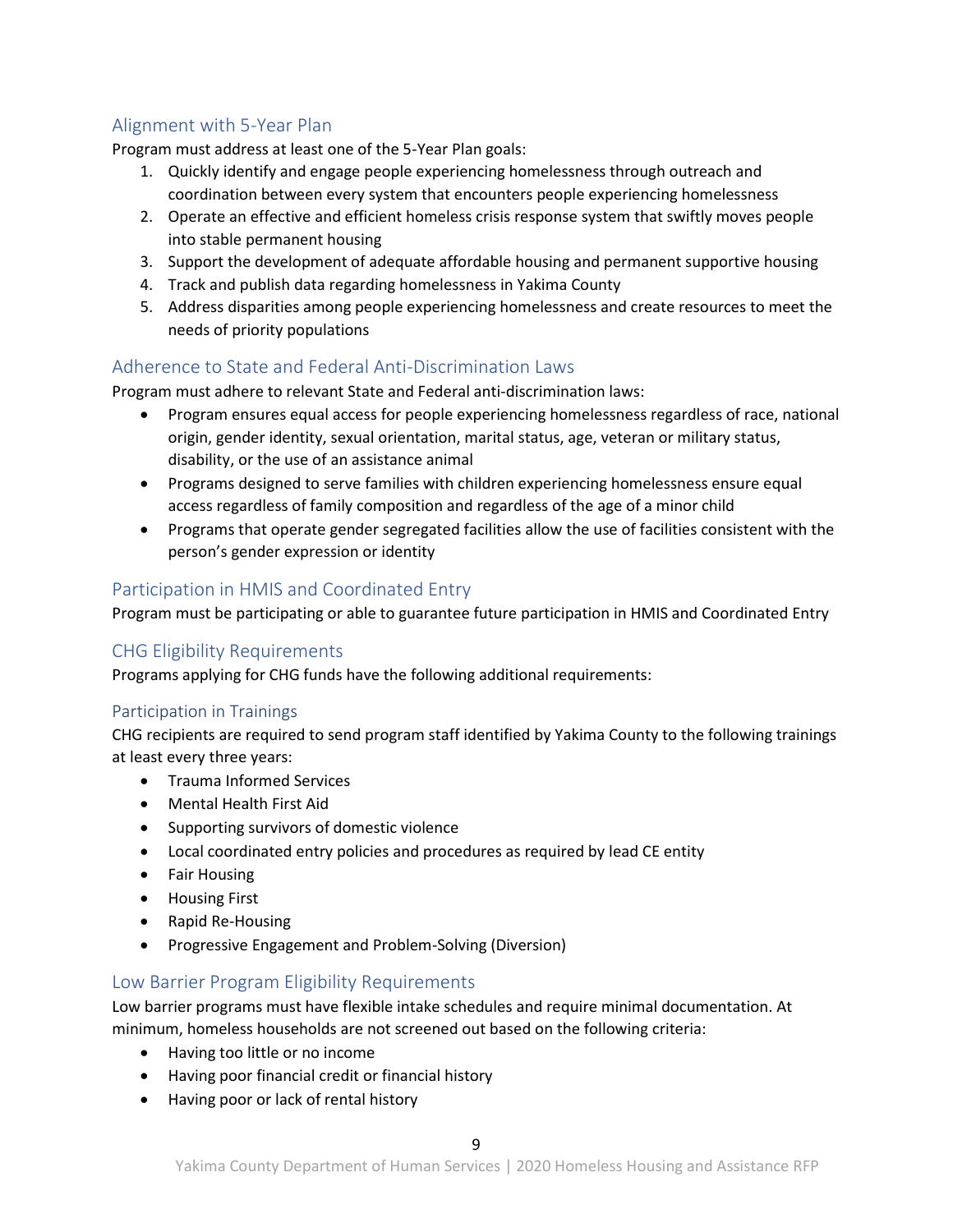# <span id="page-8-0"></span>Alignment with 5-Year Plan

Program must address at least one of the 5-Year Plan goals:

- 1. Quickly identify and engage people experiencing homelessness through outreach and coordination between every system that encounters people experiencing homelessness
- 2. Operate an effective and efficient homeless crisis response system that swiftly moves people into stable permanent housing
- 3. Support the development of adequate affordable housing and permanent supportive housing
- 4. Track and publish data regarding homelessness in Yakima County
- 5. Address disparities among people experiencing homelessness and create resources to meet the needs of priority populations

### <span id="page-8-1"></span>Adherence to State and Federal Anti-Discrimination Laws

Program must adhere to relevant State and Federal anti-discrimination laws:

- Program ensures equal access for people experiencing homelessness regardless of race, national origin, gender identity, sexual orientation, marital status, age, veteran or military status, disability, or the use of an assistance animal
- Programs designed to serve families with children experiencing homelessness ensure equal access regardless of family composition and regardless of the age of a minor child
- Programs that operate gender segregated facilities allow the use of facilities consistent with the person's gender expression or identity

### <span id="page-8-2"></span>Participation in HMIS and Coordinated Entry

Program must be participating or able to guarantee future participation in HMIS and Coordinated Entry

# <span id="page-8-3"></span>CHG Eligibility Requirements

Programs applying for CHG funds have the following additional requirements:

#### <span id="page-8-4"></span>Participation in Trainings

CHG recipients are required to send program staff identified by Yakima County to the following trainings at least every three years:

- Trauma Informed Services
- Mental Health First Aid
- Supporting survivors of domestic violence
- Local coordinated entry policies and procedures as required by lead CE entity
- Fair Housing
- Housing First
- Rapid Re-Housing
- Progressive Engagement and Problem-Solving (Diversion)

#### <span id="page-8-5"></span>Low Barrier Program Eligibility Requirements

Low barrier programs must have flexible intake schedules and require minimal documentation. At minimum, homeless households are not screened out based on the following criteria:

- Having too little or no income
- Having poor financial credit or financial history
- Having poor or lack of rental history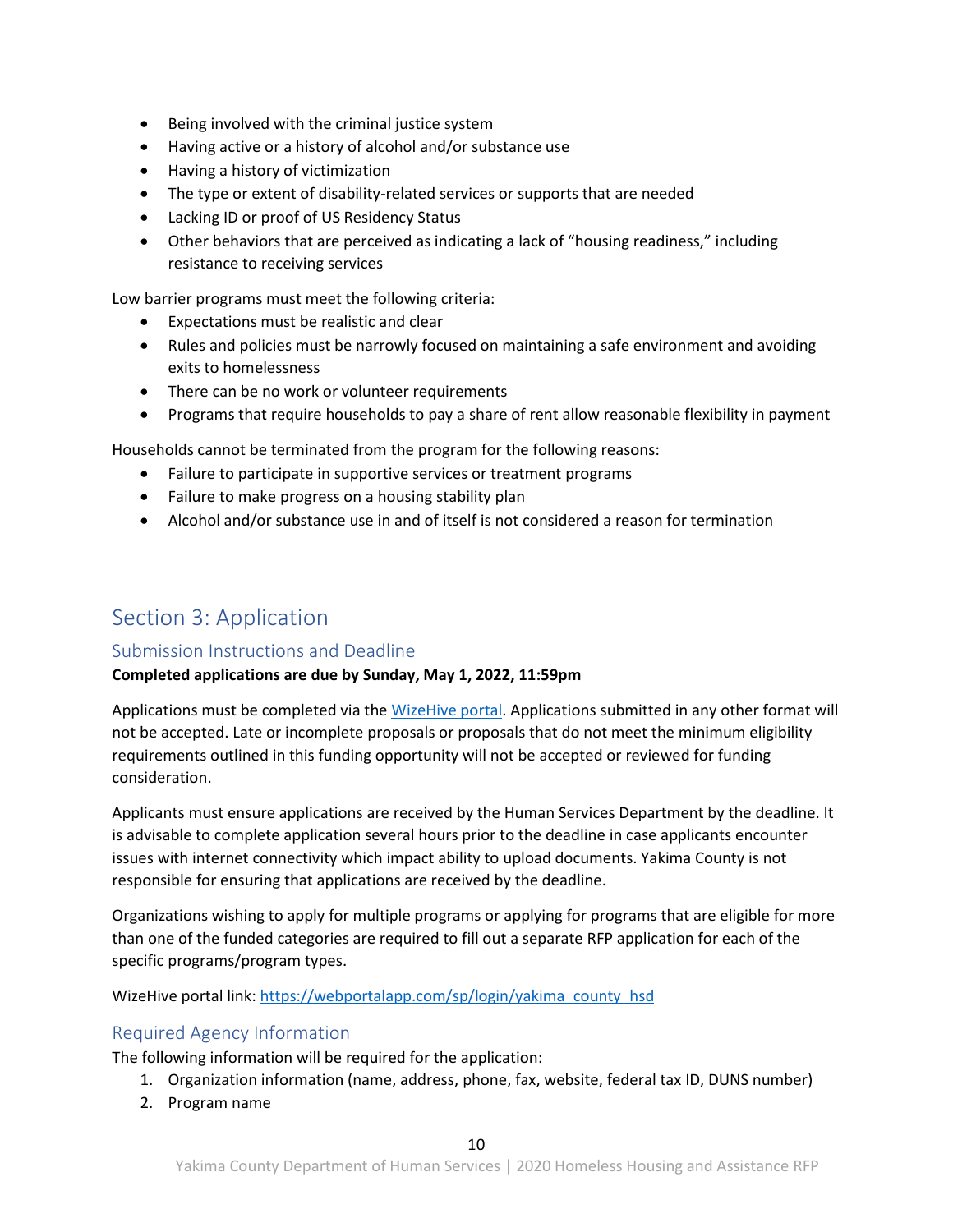- Being involved with the criminal justice system
- Having active or a history of alcohol and/or substance use
- Having a history of victimization
- The type or extent of disability-related services or supports that are needed
- Lacking ID or proof of US Residency Status
- Other behaviors that are perceived as indicating a lack of "housing readiness," including resistance to receiving services

Low barrier programs must meet the following criteria:

- Expectations must be realistic and clear
- Rules and policies must be narrowly focused on maintaining a safe environment and avoiding exits to homelessness
- There can be no work or volunteer requirements
- Programs that require households to pay a share of rent allow reasonable flexibility in payment

Households cannot be terminated from the program for the following reasons:

- Failure to participate in supportive services or treatment programs
- Failure to make progress on a housing stability plan
- Alcohol and/or substance use in and of itself is not considered a reason for termination

# <span id="page-9-0"></span>Section 3: Application

#### <span id="page-9-1"></span>Submission Instructions and Deadline

#### **Completed applications are due by Sunday, May 1, 2022, 11:59pm**

Applications must be completed via th[e WizeHive portal.](https://webportalapp.com/sp/login/yakima_county_hsd) Applications submitted in any other format will not be accepted. Late or incomplete proposals or proposals that do not meet the minimum eligibility requirements outlined in this funding opportunity will not be accepted or reviewed for funding consideration.

Applicants must ensure applications are received by the Human Services Department by the deadline. It is advisable to complete application several hours prior to the deadline in case applicants encounter issues with internet connectivity which impact ability to upload documents. Yakima County is not responsible for ensuring that applications are received by the deadline.

Organizations wishing to apply for multiple programs or applying for programs that are eligible for more than one of the funded categories are required to fill out a separate RFP application for each of the specific programs/program types.

WizeHive portal link: [https://webportalapp.com/sp/login/yakima\\_county\\_hsd](https://webportalapp.com/sp/login/yakima_county_hsd)

# <span id="page-9-2"></span>Required Agency Information

The following information will be required for the application:

- 1. Organization information (name, address, phone, fax, website, federal tax ID, DUNS number)
- 2. Program name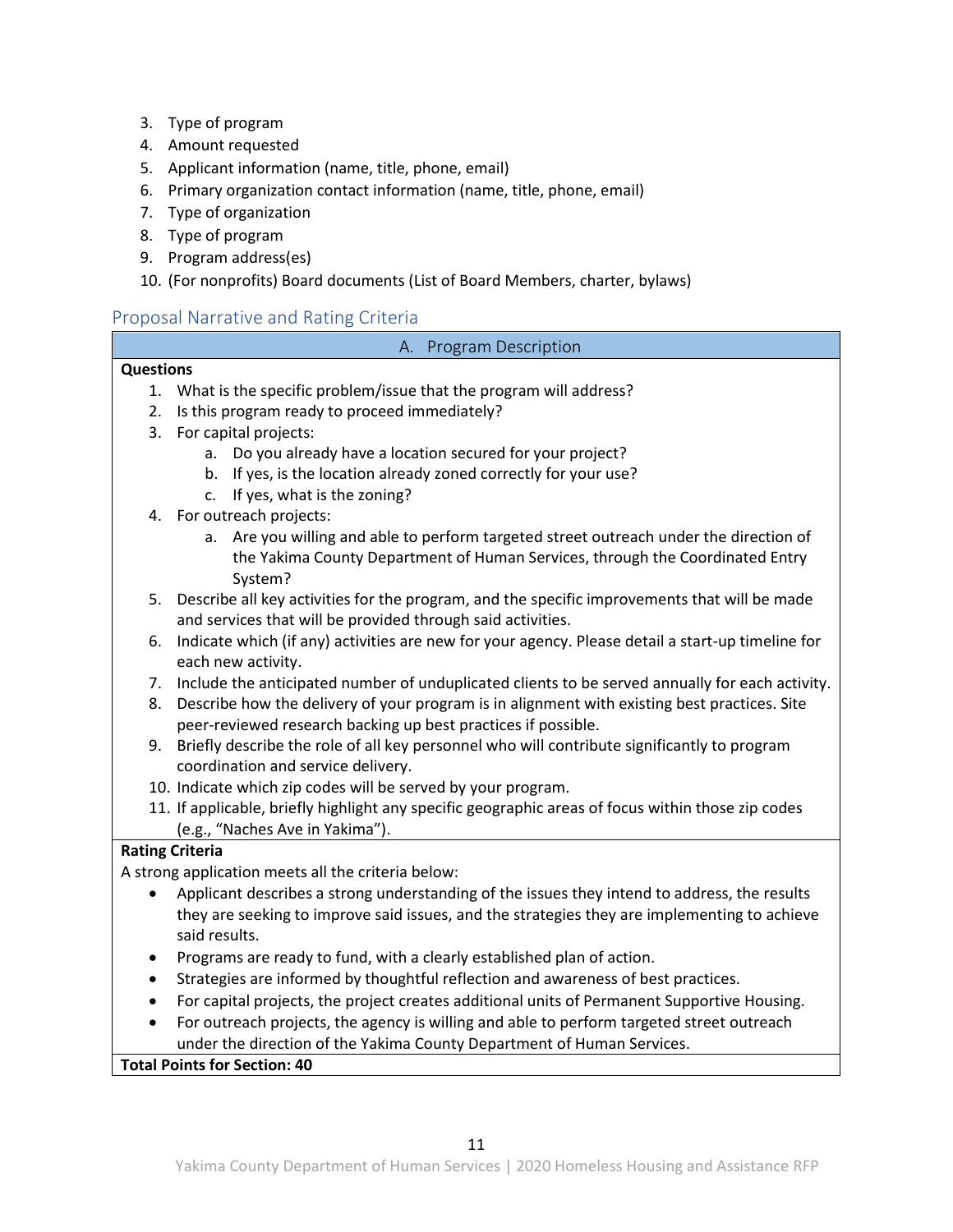- 3. Type of program
- 4. Amount requested
- 5. Applicant information (name, title, phone, email)
- 6. Primary organization contact information (name, title, phone, email)
- 7. Type of organization
- 8. Type of program
- 9. Program address(es)

#### 10. (For nonprofits) Board documents (List of Board Members, charter, bylaws)

### <span id="page-10-1"></span><span id="page-10-0"></span>Proposal Narrative and Rating Criteria

#### A. Program Description

#### **Questions**

- 1. What is the specific problem/issue that the program will address?
- 2. Is this program ready to proceed immediately?
- 3. For capital projects:
	- a. Do you already have a location secured for your project?
	- b. If yes, is the location already zoned correctly for your use?
	- c. If yes, what is the zoning?
- 4. For outreach projects:
	- a. Are you willing and able to perform targeted street outreach under the direction of the Yakima County Department of Human Services, through the Coordinated Entry System?
- 5. Describe all key activities for the program, and the specific improvements that will be made and services that will be provided through said activities.
- 6. Indicate which (if any) activities are new for your agency. Please detail a start-up timeline for each new activity.
- 7. Include the anticipated number of unduplicated clients to be served annually for each activity.
- 8. Describe how the delivery of your program is in alignment with existing best practices. Site peer-reviewed research backing up best practices if possible.
- 9. Briefly describe the role of all key personnel who will contribute significantly to program coordination and service delivery.
- 10. Indicate which zip codes will be served by your program.
- 11. If applicable, briefly highlight any specific geographic areas of focus within those zip codes (e.g., "Naches Ave in Yakima").

#### **Rating Criteria**

A strong application meets all the criteria below:

- Applicant describes a strong understanding of the issues they intend to address, the results they are seeking to improve said issues, and the strategies they are implementing to achieve said results.
- Programs are ready to fund, with a clearly established plan of action.
- Strategies are informed by thoughtful reflection and awareness of best practices.
- For capital projects, the project creates additional units of Permanent Supportive Housing.
- For outreach projects, the agency is willing and able to perform targeted street outreach under the direction of the Yakima County Department of Human Services.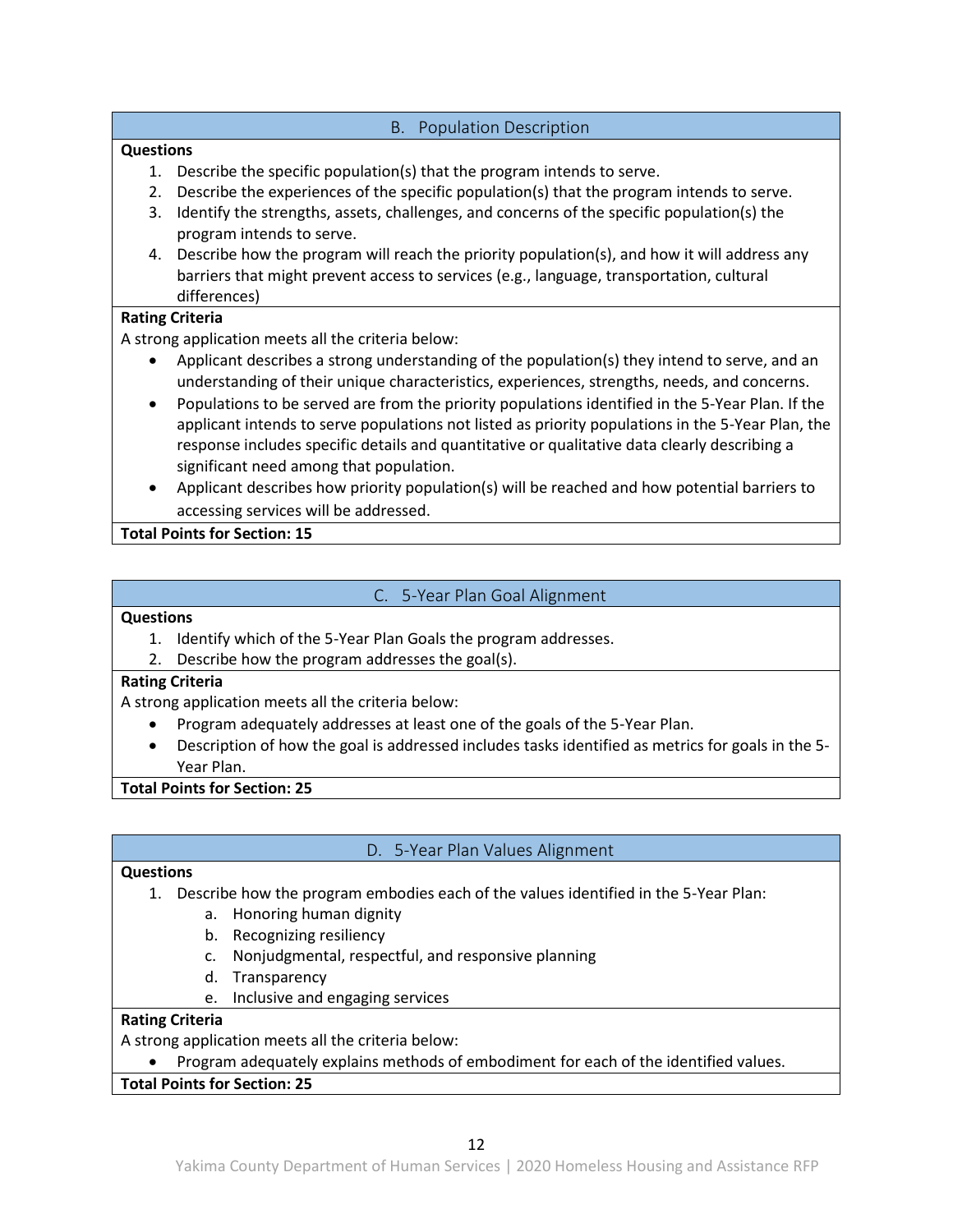#### B. Population Description

#### <span id="page-11-0"></span>**Questions**

- 1. Describe the specific population(s) that the program intends to serve.
- 2. Describe the experiences of the specific population(s) that the program intends to serve.
- 3. Identify the strengths, assets, challenges, and concerns of the specific population(s) the program intends to serve.
- 4. Describe how the program will reach the priority population(s), and how it will address any barriers that might prevent access to services (e.g., language, transportation, cultural differences)

#### **Rating Criteria**

A strong application meets all the criteria below:

- Applicant describes a strong understanding of the population(s) they intend to serve, and an understanding of their unique characteristics, experiences, strengths, needs, and concerns.
- Populations to be served are from the priority populations identified in the 5-Year Plan. If the applicant intends to serve populations not listed as priority populations in the 5-Year Plan, the response includes specific details and quantitative or qualitative data clearly describing a significant need among that population.
- Applicant describes how priority population(s) will be reached and how potential barriers to accessing services will be addressed.

**Total Points for Section: 15**

# C. 5-Year Plan Goal Alignment

#### <span id="page-11-1"></span>**Questions**

- 1. Identify which of the 5-Year Plan Goals the program addresses.
- 2. Describe how the program addresses the goal(s).

#### **Rating Criteria**

A strong application meets all the criteria below:

- Program adequately addresses at least one of the goals of the 5-Year Plan.
- Description of how the goal is addressed includes tasks identified as metrics for goals in the 5- Year Plan.

**Total Points for Section: 25**

# D. 5-Year Plan Values Alignment

#### <span id="page-11-2"></span>**Questions**

- 1. Describe how the program embodies each of the values identified in the 5-Year Plan:
	- a. Honoring human dignity
	- b. Recognizing resiliency
	- c. Nonjudgmental, respectful, and responsive planning
	- d. Transparency
	- e. Inclusive and engaging services

#### **Rating Criteria**

A strong application meets all the criteria below:

• Program adequately explains methods of embodiment for each of the identified values.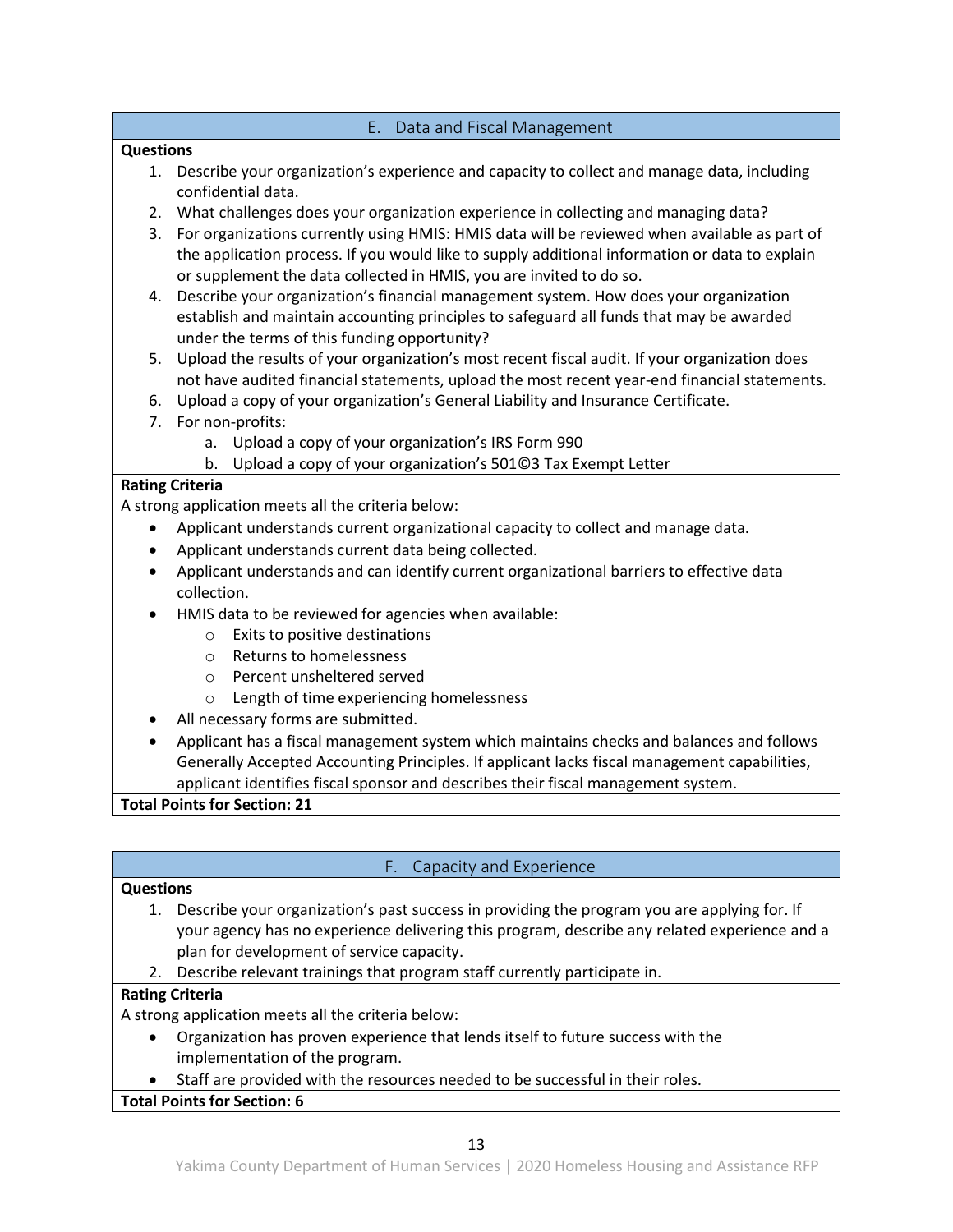#### E. Data and Fiscal Management

#### <span id="page-12-0"></span>**Questions**

- 1. Describe your organization's experience and capacity to collect and manage data, including confidential data.
- 2. What challenges does your organization experience in collecting and managing data?
- 3. For organizations currently using HMIS: HMIS data will be reviewed when available as part of the application process. If you would like to supply additional information or data to explain or supplement the data collected in HMIS, you are invited to do so.
- 4. Describe your organization's financial management system. How does your organization establish and maintain accounting principles to safeguard all funds that may be awarded under the terms of this funding opportunity?
- 5. Upload the results of your organization's most recent fiscal audit. If your organization does not have audited financial statements, upload the most recent year-end financial statements.
- 6. Upload a copy of your organization's General Liability and Insurance Certificate.
- 7. For non-profits:
	- a. Upload a copy of your organization's IRS Form 990
	- b. Upload a copy of your organization's 501©3 Tax Exempt Letter

### **Rating Criteria**

A strong application meets all the criteria below:

- Applicant understands current organizational capacity to collect and manage data.
- Applicant understands current data being collected.
- Applicant understands and can identify current organizational barriers to effective data collection.
- HMIS data to be reviewed for agencies when available:
	- o Exits to positive destinations
	- o Returns to homelessness
	- o Percent unsheltered served
	- o Length of time experiencing homelessness
- All necessary forms are submitted.
- Applicant has a fiscal management system which maintains checks and balances and follows Generally Accepted Accounting Principles. If applicant lacks fiscal management capabilities, applicant identifies fiscal sponsor and describes their fiscal management system.

**Total Points for Section: 21**

# F. Capacity and Experience

#### <span id="page-12-1"></span>**Questions**

- 1. Describe your organization's past success in providing the program you are applying for. If your agency has no experience delivering this program, describe any related experience and a plan for development of service capacity.
- 2. Describe relevant trainings that program staff currently participate in.

#### **Rating Criteria**

A strong application meets all the criteria below:

- Organization has proven experience that lends itself to future success with the implementation of the program.
- Staff are provided with the resources needed to be successful in their roles.